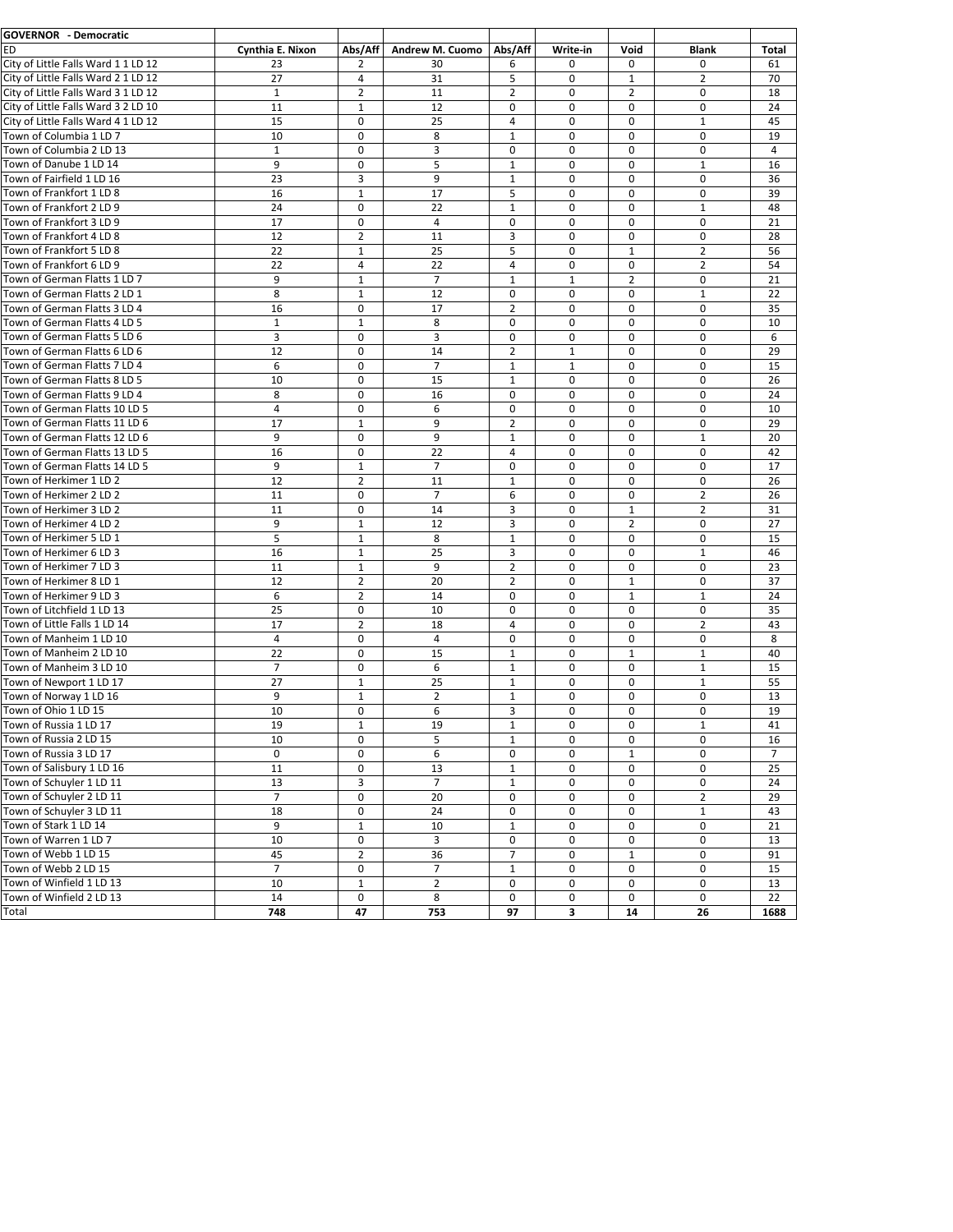| <b>GOVERNOR - Democratic</b>                                 |                  |                |                 |                  |              |                |                |       |
|--------------------------------------------------------------|------------------|----------------|-----------------|------------------|--------------|----------------|----------------|-------|
| <b>ED</b>                                                    | Cynthia E. Nixon | Abs/Aff        | Andrew M. Cuomo | Abs/Aff          | Write-in     | Void           | <b>Blank</b>   | Total |
| City of Little Falls Ward 1 1 LD 12                          | 23               | 2              | 30              | 6                | 0            | 0              | 0              | 61    |
| City of Little Falls Ward 2 1 LD 12                          | 27               | $\overline{4}$ | 31              | 5                | $\mathbf 0$  | $\mathbf{1}$   | $\overline{2}$ | 70    |
| City of Little Falls Ward 3 1 LD 12                          | $\mathbf{1}$     | $\overline{2}$ | 11              | $\overline{2}$   | $\mathbf 0$  | $\overline{2}$ | $\mathbf 0$    | 18    |
| City of Little Falls Ward 3 2 LD 10                          | 11               | $\mathbf{1}$   | 12              | 0                | $\mathbf 0$  | $\Omega$       | $\mathbf 0$    | 24    |
| City of Little Falls Ward 4 1 LD 12                          | 15               | 0              | 25              | 4                | $\mathbf 0$  | $\Omega$       | $\mathbf{1}$   | 45    |
| Town of Columbia 1 LD 7                                      | 10               | $\mathbf 0$    | 8               | $\mathbf{1}$     | $\mathbf 0$  | 0              | $\mathbf 0$    | 19    |
| Town of Columbia 2 LD 13                                     | $\mathbf{1}$     | $\mathbf 0$    | 3               | 0                | 0            | 0              | 0              | 4     |
| Town of Danube 1 LD 14                                       | 9                | $\mathbf 0$    | 5               | $\mathbf{1}$     | 0            | 0              | $\mathbf{1}$   | 16    |
| Town of Fairfield 1 LD 16                                    | 23               | 3              | 9               | $\mathbf{1}$     | $\mathbf 0$  | $\mathbf 0$    | $\mathbf 0$    | 36    |
| Town of Frankfort 1 LD 8                                     | 16               | 1              | 17              | 5                | $\mathbf 0$  | 0              | 0              | 39    |
| Town of Frankfort 2 LD 9                                     | 24               | 0              | 22              | $\mathbf{1}$     | $\mathbf 0$  | $\mathbf 0$    | $\mathbf{1}$   | 48    |
| Town of Frankfort 3 LD 9                                     | 17               | $\pmb{0}$      | $\overline{4}$  | 0                | $\pmb{0}$    | $\mathbf 0$    | $\mathbf 0$    | 21    |
| Town of Frankfort 4 LD 8                                     | 12               | $\overline{2}$ | 11              | 3                | $\mathbf 0$  | $\mathbf 0$    | $\mathbf 0$    | 28    |
| Town of Frankfort 5 LD 8                                     | 22               | $\mathbf{1}$   | 25              | 5                | 0            | $\mathbf{1}$   | 2              | 56    |
| Town of Frankfort 6 LD 9                                     | 22               | $\overline{4}$ | 22              | $\overline{4}$   | $\mathbf 0$  | 0              | $\overline{2}$ | 54    |
| Town of German Flatts 1 LD 7                                 | 9                | $\mathbf{1}$   | $\overline{7}$  | $\mathbf{1}$     | $\mathbf{1}$ | $\overline{2}$ | $\mathbf 0$    | 21    |
| Town of German Flatts 2 LD 1                                 | 8                | $\mathbf{1}$   | 12              | $\mathbf 0$      | $\mathbf 0$  | $\Omega$       | $\mathbf{1}$   | 22    |
| Town of German Flatts 3 LD 4                                 | 16               | $\mathbf 0$    | 17              | $\overline{2}$   | $\mathbf 0$  | $\Omega$       | $\mathbf 0$    | 35    |
|                                                              |                  |                |                 |                  | $\mathbf 0$  |                | $\mathbf 0$    |       |
| Town of German Flatts 4 LD 5<br>Town of German Flatts 5 LD 6 | $\mathbf{1}$     | $\mathbf{1}$   | 8               | 0                |              | 0              |                | 10    |
|                                                              | 3                | $\mathbf 0$    | 3               | $\mathbf 0$      | $\mathbf 0$  | 0              | 0              | 6     |
| Town of German Flatts 6 LD 6                                 | 12               | 0              | 14              | $\overline{2}$   | $\mathbf{1}$ | 0              | 0              | 29    |
| Town of German Flatts 7 LD 4                                 | 6                | $\mathbf 0$    | $\overline{7}$  | $\mathbf{1}$     | $\mathbf{1}$ | $\mathbf 0$    | $\mathbf 0$    | 15    |
| Town of German Flatts 8 LD 5                                 | 10               | 0              | 15              | 1                | 0            | $\Omega$       | $\mathbf 0$    | 26    |
| Town of German Flatts 9 LD 4                                 | 8                | $\mathbf 0$    | 16              | $\mathbf 0$      | $\mathbf 0$  | $\mathbf 0$    | $\mathbf 0$    | 24    |
| Town of German Flatts 10 LD 5                                | $\overline{4}$   | $\pmb{0}$      | 6               | $\mathbf 0$      | $\pmb{0}$    | $\mathbf 0$    | $\mathbf 0$    | 10    |
| Town of German Flatts 11 LD 6                                | 17               | $\mathbf 1$    | 9               | $\overline{2}$   | $\mathbf 0$  | $\mathbf 0$    | $\mathbf 0$    | 29    |
| Town of German Flatts 12 LD 6                                | 9                | 0              | 9               | $\mathbf{1}$     | $\mathbf 0$  | 0              | $\mathbf{1}$   | 20    |
| Town of German Flatts 13 LD 5                                | 16               | $\mathbf 0$    | 22              | $\overline{4}$   | $\mathbf 0$  | $\Omega$       | $\Omega$       | 42    |
| Town of German Flatts 14 LD 5                                | 9                | $\mathbf{1}$   | $\overline{7}$  | $\mathbf 0$      | 0            | 0              | $\mathbf 0$    | 17    |
| Town of Herkimer 1 LD 2                                      | 12               | $\overline{2}$ | 11              | $\mathbf{1}$     | $\mathbf 0$  | $\Omega$       | $\mathbf 0$    | 26    |
| Town of Herkimer 2 LD 2                                      | 11               | $\mathbf 0$    | $\overline{7}$  | 6                | $\mathbf 0$  | 0              | $\overline{2}$ | 26    |
| Town of Herkimer 3 LD 2                                      | 11               | 0              | 14              | 3                | 0            | $\mathbf{1}$   | 2              | 31    |
| Town of Herkimer 4 LD 2                                      | 9                | $\mathbf{1}$   | 12              | 3                | $\mathbf 0$  | $\overline{2}$ | 0              | 27    |
| Town of Herkimer 5 LD 1                                      | 5                | $\mathbf{1}$   | 8               | $\mathbf{1}$     | $\mathbf 0$  | 0              | $\mathbf 0$    | 15    |
| Town of Herkimer 6 LD 3                                      | 16               | $\mathbf{1}$   | 25              | 3                | 0            | 0              | $\mathbf{1}$   | 46    |
| Town of Herkimer 7 LD 3                                      | 11               | 1              | 9               | $\overline{2}$   | 0            | 0              | $\mathbf 0$    | 23    |
| Town of Herkimer 8 LD 1                                      | 12               | $\overline{2}$ | 20              | $\overline{2}$   | $\mathbf 0$  | $\mathbf{1}$   | $\mathbf 0$    | 37    |
| Town of Herkimer 9 LD 3                                      | 6                | $\overline{2}$ | 14              | 0                | 0            | 1              | $\mathbf{1}$   | 24    |
| Town of Litchfield 1 LD 13                                   | 25               | 0              | 10              | 0                | 0            | $\mathbf 0$    | $\mathbf 0$    | 35    |
| Town of Little Falls 1 LD 14                                 | 17               | $\overline{2}$ | 18              | 4                | 0            | $\mathbf 0$    | $\overline{2}$ | 43    |
| Town of Manheim 1 LD 10                                      | $\overline{4}$   | $\mathbf 0$    | $\overline{4}$  | 0                | $\mathbf 0$  | $\Omega$       | $\mathbf 0$    | 8     |
| Town of Manheim 2 LD 10                                      | 22               | 0              | 15              | $\mathbf{1}$     | 0            | 1              | $\mathbf{1}$   | 40    |
| Town of Manheim 3 LD 10                                      | $\bar{7}$        | $\mathbf 0$    | 6               | $\mathbf{1}$     | $\mathbf 0$  | $\Omega$       | $\mathbf{1}$   | 15    |
| Town of Newport 1 LD 17                                      | 27               | $\mathbf 1$    | 25              | $\mathbf{1}$     | $\mathbf 0$  | 0              | $\mathbf 1$    | 55    |
| Town of Norway 1 LD 16                                       | 9                | 1              | 2               | $\mathbf{1}$     | 0            | 0              | 0              | 13    |
| Town of Ohio 1 LD 15                                         | 10               | $\mathbf 0$    | 6               | 3                | $\mathbf 0$  | 0              | 0              | 19    |
| Town of Russia 1 LD 17                                       | 19               | 1              | 19              | 1                | 0            | 0              | 1              | 41    |
| Town of Russia 2 LD 15                                       | 10               | $\pmb{0}$      | 5               | $\mathbf{1}$     | $\pmb{0}$    | 0              | $\mathbf 0$    | 16    |
| Town of Russia 3 LD 17                                       | 0                | 0              | 6               | $\pmb{0}$        | 0            | $\mathbf{1}$   | 0              | 7     |
| Town of Salisbury 1 LD 16                                    | 11               | $\pmb{0}$      | 13              | $\mathbf 1$      | $\pmb{0}$    | 0              | $\pmb{0}$      | 25    |
| Town of Schuyler 1 LD 11                                     | 13               | 3              | $\overline{7}$  | $\mathbf 1$      | 0            | 0              | 0              | 24    |
| Town of Schuyler 2 LD 11                                     | $\overline{7}$   | $\pmb{0}$      | $\overline{20}$ | $\mathbf 0$      | $\pmb{0}$    | 0              | $\overline{2}$ | 29    |
| Town of Schuyler 3 LD 11                                     | 18               | 0              | 24              | $\pmb{0}$        | 0            | $\mathbf 0$    | $\mathbf 1$    | 43    |
| Town of Stark 1 LD 14                                        | 9                | $\mathbf 1$    | 10              | $\mathbf 1$      | 0            | $\mathbf 0$    | 0              | 21    |
|                                                              |                  |                |                 |                  |              |                |                |       |
| Town of Warren 1 LD 7                                        | 10               | 0              | 3               | $\pmb{0}$        | 0            | 0              | 0              | 13    |
| Town of Webb 1 LD 15                                         | 45               | $\overline{2}$ | 36              | $\overline{7}$   | 0            | $\mathbf{1}$   | 0              | 91    |
| Town of Webb 2 LD 15                                         | $\overline{7}$   | 0              | $\overline{7}$  | $\mathbf{1}$     | 0            | 0              | 0              | 15    |
| Town of Winfield 1 LD 13                                     | 10               | $\mathbf{1}$   | $\overline{2}$  | 0                | 0            | 0              | 0              | 13    |
| Town of Winfield 2 LD 13                                     | 14               | 0              | 8               | $\boldsymbol{0}$ | 0            | 0              | $\mathbf 0$    | 22    |
| Total                                                        | 748              | 47             | 753             | 97               | 3            | 14             | 26             | 1688  |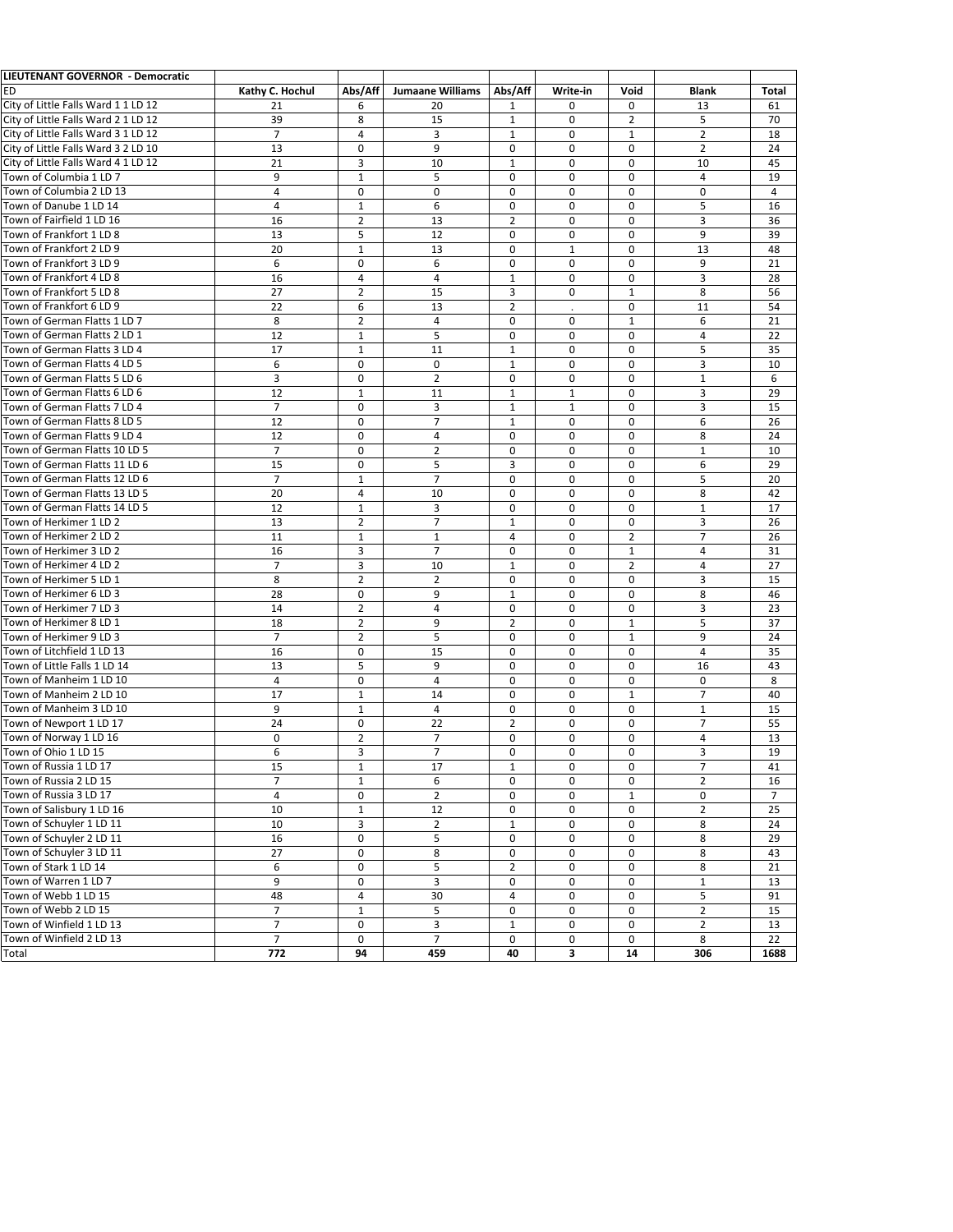| LIEUTENANT GOVERNOR - Democratic    |                  |                |                         |                |              |              |                |                 |
|-------------------------------------|------------------|----------------|-------------------------|----------------|--------------|--------------|----------------|-----------------|
| <b>ED</b>                           | Kathy C. Hochul  | Abs/Aff        | <b>Jumaane Williams</b> | Abs/Aff        | Write-in     | Void         | Blank          | Total           |
| City of Little Falls Ward 1 1 LD 12 | 21               | 6              | 20                      | 1              | 0            | $\mathbf 0$  | 13             | 61              |
| City of Little Falls Ward 2 1 LD 12 | 39               | 8              | 15                      | $\mathbf{1}$   | 0            | 2            | 5              | 70              |
| City of Little Falls Ward 3 1 LD 12 | $\overline{7}$   | 4              | 3                       | $\mathbf{1}$   | 0            | $\mathbf{1}$ | 2              | 18              |
| City of Little Falls Ward 3 2 LD 10 | 13               | $\mathbf 0$    | 9                       | $\mathbf 0$    | 0            | $\mathbf 0$  | $\overline{2}$ | 24              |
| City of Little Falls Ward 4 1 LD 12 | 21               | 3              | 10                      | $\mathbf{1}$   | $\mathbf 0$  | $\mathbf 0$  | 10             | 45              |
| Town of Columbia 1 LD 7             |                  |                | 5                       | $\mathbf 0$    | $\mathbf 0$  |              | 4              |                 |
|                                     | 9                | $\mathbf{1}$   |                         |                |              | $\mathbf 0$  |                | 19              |
| Town of Columbia 2 LD 13            | $\sqrt{4}$       | $\mathbf 0$    | $\mathbf 0$             | $\mathbf 0$    | $\pmb{0}$    | $\mathbf 0$  | $\mathbf 0$    | $\overline{4}$  |
| Town of Danube 1 LD 14              | $\overline{4}$   | $\mathbf{1}$   | 6                       | $\mathbf 0$    | $\mathbf 0$  | $\mathbf 0$  | 5              | 16              |
| Town of Fairfield 1 LD 16           | 16               | 2              | 13                      | $\overline{2}$ | 0            | $\mathbf 0$  | 3              | 36              |
| Town of Frankfort 1 LD 8            | 13               | 5              | 12                      | $\mathbf 0$    | $\mathbf 0$  | $\mathbf 0$  | 9              | 39              |
| Town of Frankfort 2 LD 9            | 20               | $\mathbf{1}$   | 13                      | $\mathbf 0$    | $\mathbf{1}$ | $\mathbf 0$  | 13             | 48              |
| Town of Frankfort 3 LD 9            | 6                | 0              | 6                       | $\mathbf 0$    | $\mathbf 0$  | $\Omega$     | 9              | 21              |
| Town of Frankfort 4 LD 8            | 16               | 4              | $\overline{4}$          | $\mathbf{1}$   | $\mathbf 0$  | $\mathbf 0$  | 3              | 28              |
| Town of Frankfort 5 LD 8            | 27               | $\overline{2}$ | 15                      | 3              | $\mathbf 0$  | $\mathbf{1}$ | 8              | 56              |
| Town of Frankfort 6 LD 9            | 22               | 6              | 13                      | $\overline{2}$ | t,           | $\mathbf 0$  | 11             | 54              |
| Town of German Flatts 1 LD 7        | 8                | $\overline{2}$ | $\overline{4}$          | 0              | 0            | $\mathbf{1}$ | 6              | 21              |
| Town of German Flatts 2 LD 1        | 12               | $\mathbf{1}$   | 5                       | $\mathbf 0$    | $\mathbf 0$  | $\mathbf 0$  | $\overline{4}$ | 22              |
| Town of German Flatts 3 LD 4        | 17               | 1              | 11                      | $\mathbf{1}$   | 0            | $\mathbf 0$  | 5              | 35              |
| Town of German Flatts 4 LD 5        | 6                | 0              | $\mathbf 0$             | $\mathbf{1}$   | $\pmb{0}$    | $\mathbf 0$  | 3              | 10              |
| Town of German Flatts 5 LD 6        |                  | $\mathbf 0$    |                         |                |              |              |                | 6               |
|                                     | 3                |                | $\overline{2}$          | $\pmb{0}$      | 0            | $\mathbf 0$  | $\mathbf{1}$   |                 |
| Town of German Flatts 6 LD 6        | 12               | $\mathbf{1}$   | 11                      | $1\,$          | $\mathbf{1}$ | $\mathbf 0$  | 3              | 29              |
| Town of German Flatts 7 LD 4        | $\overline{7}$   | 0              | 3                       | $1\,$          | $\mathbf{1}$ | $\mathbf 0$  | 3              | 15              |
| Town of German Flatts 8 LD 5        | 12               | $\mathbf 0$    | $\overline{7}$          | $\mathbf{1}$   | $\mathbf 0$  | $\Omega$     | 6              | 26              |
| Town of German Flatts 9 LD 4        | 12               | $\mathbf 0$    | $\overline{4}$          | $\mathbf 0$    | 0            | $\mathbf 0$  | 8              | 24              |
| Town of German Flatts 10 LD 5       | $\overline{7}$   | $\mathbf 0$    | $\overline{2}$          | $\mathbf 0$    | 0            | $\mathbf 0$  | $\mathbf{1}$   | 10              |
| Town of German Flatts 11 LD 6       | 15               | $\mathbf 0$    | 5                       | 3              | 0            | $\mathbf 0$  | 6              | 29              |
| Town of German Flatts 12 LD 6       | $\overline{7}$   | $\mathbf{1}$   | $\overline{7}$          | 0              | 0            | $\mathbf 0$  | 5              | 20              |
| Town of German Flatts 13 LD 5       | 20               | 4              | 10                      | $\mathbf 0$    | $\mathbf 0$  | $\mathbf 0$  | 8              | 42              |
| Town of German Flatts 14 LD 5       | 12               | $\mathbf{1}$   | 3                       | $\mathbf 0$    | $\mathbf 0$  | $\mathbf 0$  | $\mathbf{1}$   | 17              |
| Town of Herkimer 1 LD 2             | 13               | $\overline{2}$ | $\overline{7}$          | $1\,$          | 0            | $\mathbf 0$  | 3              | 26              |
| Town of Herkimer 2 LD 2             | 11               | 1              | 1                       | 4              | 0            | 2            | $\overline{7}$ | 26              |
| Town of Herkimer 3 LD 2             | 16               | 3              | $\overline{7}$          | $\mathbf 0$    | $\mathbf 0$  | $\mathbf{1}$ | $\overline{4}$ | 31              |
| Town of Herkimer 4 LD 2             | $\overline{7}$   | 3              | 10                      | $1\,$          | 0            | 2            | 4              | 27              |
| Town of Herkimer 5 LD 1             | 8                | $\overline{2}$ | $\overline{2}$          | 0              | $\mathbf 0$  | $\mathbf 0$  | 3              | 15              |
| Town of Herkimer 6 LD 3             | 28               | 0              | 9                       | $\mathbf{1}$   | 0            | $\mathbf 0$  | 8              | 46              |
| Town of Herkimer 7 LD 3             | 14               | $\overline{2}$ | $\overline{4}$          | $\mathbf 0$    | $\mathbf 0$  | $\mathbf 0$  | 3              | 23              |
|                                     |                  |                |                         |                |              |              |                |                 |
| Town of Herkimer 8 LD 1             | 18               | $\overline{2}$ | 9                       | $\overline{2}$ | 0            | $\mathbf{1}$ | 5              | 37              |
| Town of Herkimer 9 LD 3             | $\overline{7}$   | $\overline{2}$ | 5                       | $\mathbf 0$    | $\mathbf 0$  | $\mathbf{1}$ | 9              | 24              |
| Town of Litchfield 1 LD 13          | 16               | $\mathbf 0$    | 15                      | $\mathbf 0$    | 0            | $\mathbf 0$  | $\overline{4}$ | 35              |
| Town of Little Falls 1 LD 14        | 13               | 5              | 9                       | 0              | 0            | $\mathbf 0$  | 16             | 43              |
| Town of Manheim 1 LD 10             | $\overline{4}$   | 0              | $\overline{4}$          | $\mathbf 0$    | $\mathbf 0$  | $\mathbf 0$  | $\mathbf 0$    | 8               |
| Town of Manheim 2 LD 10             | 17               | $\mathbf{1}$   | 14                      | $\mathbf 0$    | $\mathbf 0$  | $\mathbf{1}$ | $\overline{7}$ | 40              |
| Town of Manheim 3 LD 10             | 9                | $\mathbf{1}$   | $\overline{4}$          | $\mathbf 0$    | $\mathbf 0$  | $\mathbf 0$  | $\mathbf{1}$   | 15              |
| Town of Newport 1 LD 17             | 24               | 0              | 22                      | $\overline{2}$ | $\pmb{0}$    | $\mathbf 0$  | $\overline{7}$ | 55              |
| Town of Norway 1 LD 16              | $\mathbf 0$      | $\overline{2}$ | $\overline{7}$          | $\mathbf 0$    | $\mathbf 0$  | $\mathbf 0$  | $\overline{4}$ | 13              |
| Town of Ohio 1 LD 15                | 6                | 3              | $\overline{7}$          | $\mathbf 0$    | 0            | 0            | 3              | 19              |
| Town of Russia 1 LD 17              | 15               | $\mathbf{1}$   | $17\,$                  | $\mathbf{1}$   | $\pmb{0}$    | 0            | $\overline{7}$ | 41              |
| Town of Russia 2 LD 15              | $\overline{7}$   | $\mathbf{1}$   | 6                       | $\mathbf 0$    | 0            | $\mathbf 0$  | $\overline{2}$ | 16              |
| Town of Russia 3 LD 17              | 4                | 0              | $\overline{2}$          | 0              | 0            | $\mathbf{1}$ | 0              | $\overline{7}$  |
| Town of Salisbury 1 LD 16           | 10               | $\mathbf{1}$   | 12                      | $\pmb{0}$      | 0            | 0            | $\overline{2}$ | 25              |
| Town of Schuyler 1 LD 11            | 10               | 3              | $\overline{2}$          | $\mathbf 1$    | 0            | 0            | 8              | 24              |
| Town of Schuyler 2 LD 11            | 16               | 0              | 5                       | 0              | 0            | 0            | 8              | 29              |
|                                     |                  |                |                         |                |              |              |                |                 |
| Town of Schuyler 3 LD 11            | 27               | 0              | 8                       | 0              | 0            | 0            | 8              | 43              |
| Town of Stark 1 LD 14               | 6                | 0              | $\overline{5}$          | $\overline{2}$ | 0            | 0            | 8              | $\overline{21}$ |
| Town of Warren 1 LD 7               | 9                | 0              | 3                       | 0              | 0            | 0            | $\mathbf{1}$   | 13              |
| Town of Webb 1 LD 15                | 48               | 4              | 30                      | $\sqrt{4}$     | 0            | 0            | 5              | 91              |
| Town of Webb 2 LD 15                | $\overline{7}$   | $\mathbf{1}$   | 5                       | 0              | 0            | 0            | $\overline{2}$ | 15              |
| Town of Winfield 1 LD 13            | $\overline{7}$   | 0              | 3                       | $\mathbf 1$    | 0            | 0            | $\overline{2}$ | 13              |
| Town of Winfield 2 LD 13            | $\overline{7}$   | 0              | $\overline{7}$          | $\mathbf 0$    | 0            | 0            | 8              | 22              |
| Total                               | $\overline{772}$ | 94             | 459                     | 40             | 3            | 14           | 306            | 1688            |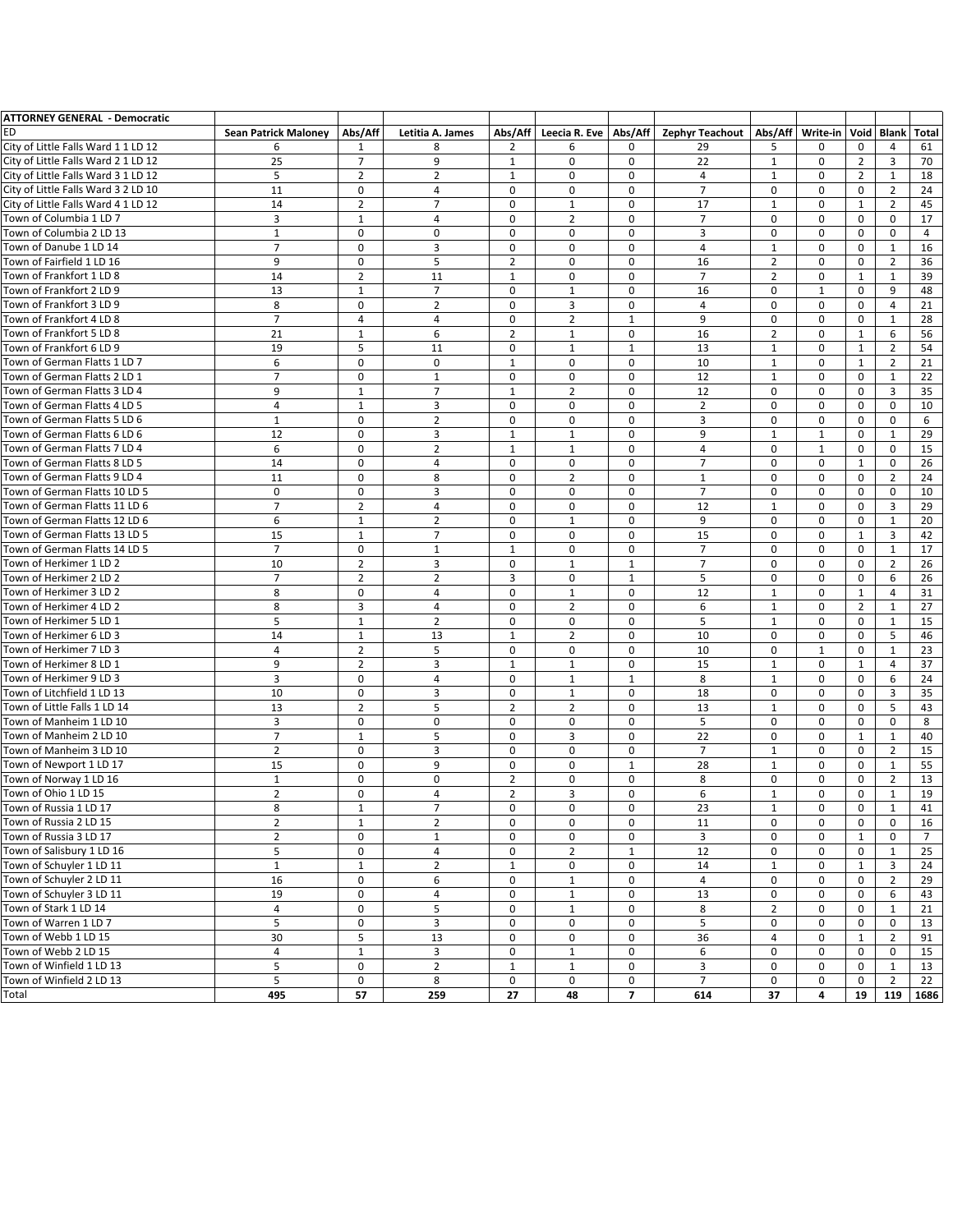| <b>ATTORNEY GENERAL - Democratic</b>                         |                             |                  |                             |                   |                  |                          |                        |                              |                  |                   |                |                |
|--------------------------------------------------------------|-----------------------------|------------------|-----------------------------|-------------------|------------------|--------------------------|------------------------|------------------------------|------------------|-------------------|----------------|----------------|
| <b>ED</b>                                                    | <b>Sean Patrick Maloney</b> | Abs/Aff          | Letitia A. James            | Abs/Aff           | Leecia R. Eve    | Abs/Aff                  | <b>Zephyr Teachout</b> | Abs/Aff                      | Write-in         | Void              | <b>Blank</b>   | Total          |
| City of Little Falls Ward 1 1 LD 12                          | 6                           | 1                | 8                           | $\overline{2}$    | 6                | 0                        | 29                     | 5                            | 0                | 0                 | 4              | 61             |
| City of Little Falls Ward 2 1 LD 12                          | $\overline{25}$             | $\overline{7}$   | 9                           | $\mathbf{1}$      | 0                | $\mathbf 0$              | 22                     | $\mathbf{1}$                 | $\mathbf 0$      | $\overline{2}$    | $\overline{3}$ | 70             |
| City of Little Falls Ward 3 1 LD 12                          | 5                           | $\overline{2}$   | $\overline{2}$              | $\mathbf{1}$      | 0                | 0                        | 4                      | $\mathbf{1}$                 | $\mathbf 0$      | $\overline{2}$    | 1              | 18             |
| City of Little Falls Ward 3 2 LD 10                          | 11                          | 0                | $\overline{4}$              | 0                 | 0                | $\mathbf 0$              | $\overline{7}$         | $\mathbf 0$                  | $\mathbf 0$      | 0                 | $\overline{2}$ | 24             |
| City of Little Falls Ward 4 1 LD 12                          | 14                          | $\overline{2}$   | $\overline{7}$              | 0                 | $\mathbf{1}$     | $\mathbf 0$              | 17                     | $\mathbf{1}$                 | $\mathbf 0$      | $\mathbf{1}$      | 2              | 45             |
| Town of Columbia 1 LD 7                                      | 3                           | $\mathbf{1}$     | $\overline{4}$              | $\mathbf 0$       | $\overline{2}$   | $\mathbf 0$              | $\overline{7}$         | $\mathbf 0$                  | $\mathbf 0$      | $\mathbf 0$       | $\mathbf 0$    | 17             |
| Town of Columbia 2 LD 13                                     | $\mathbf{1}$                | 0                | $\mathbf 0$                 | $\mathbf 0$       | 0                | $\mathbf 0$              | 3                      | $\mathbf 0$                  | $\mathbf 0$      | 0                 | $\mathbf 0$    | 4              |
| Town of Danube 1 LD 14                                       | $\overline{7}$              | 0                | 3                           | $\mathbf 0$       | 0                | $\mathbf 0$              | $\sqrt{4}$             | $\mathbf{1}$                 | $\mathbf 0$      | 0                 | $\mathbf{1}$   | 16             |
| Town of Fairfield 1 LD 16                                    | 9                           | 0                | 5                           | $\overline{2}$    | 0                | $\mathbf 0$              | 16                     | $\overline{2}$               | $\mathbf 0$      | 0                 | $\overline{2}$ | 36             |
| Town of Frankfort 1 LD 8                                     | 14                          | $\overline{2}$   | 11                          | $\mathbf{1}$      | 0                | $\mathbf 0$              | $\overline{7}$         | $\overline{2}$               | $\mathbf 0$      | $\mathbf{1}$      | 1              | 39             |
| Town of Frankfort 2 LD 9                                     | 13                          | $\mathbf{1}$     | $\overline{7}$              | $\mathbf 0$       | $\mathbf{1}$     | $\mathbf 0$              | 16                     | $\mathbf 0$                  | $\mathbf{1}$     | 0                 | 9              | 48             |
| Town of Frankfort 3 LD 9                                     | 8                           | 0                | $\overline{2}$              | $\mathbf 0$       | 3                | $\mathbf 0$              | $\overline{4}$         | $\Omega$                     | $\mathbf 0$      | $\mathbf 0$       | $\overline{4}$ | 21             |
| Town of Frankfort 4 LD 8                                     | $\overline{7}$              | $\overline{4}$   | $\overline{4}$              | $\mathbf 0$       | $\overline{2}$   | $\mathbf 1$              | 9                      | $\mathbf 0$                  | $\mathbf 0$      | 0                 | $\mathbf{1}$   | 28             |
| Town of Frankfort 5 LD 8                                     | 21                          | $\mathbf{1}$     | 6                           | $\overline{2}$    | $\mathbf{1}$     | $\pmb{0}$                | 16                     | $\overline{2}$               | $\mathbf 0$      | $\mathbf{1}$      | 6              | 56             |
| Town of Frankfort 6 LD 9                                     | 19                          | 5                | 11                          | $\mathbf 0$       | $\mathbf{1}$     | $1\,$                    | 13                     | $\mathbf{1}$                 | $\mathbf 0$      | $\mathbf{1}$      | $\overline{2}$ | 54             |
|                                                              |                             |                  |                             |                   |                  |                          | 10                     |                              |                  |                   |                |                |
| Town of German Flatts 1 LD 7<br>Town of German Flatts 2 LD 1 | 6<br>$\overline{7}$         | 0<br>$\mathbf 0$ | $\mathbf 0$<br>$\mathbf{1}$ | $\mathbf{1}$<br>0 | 0<br>$\mathbf 0$ | 0<br>$\mathbf 0$         | 12                     | $\mathbf{1}$<br>$\mathbf{1}$ | 0<br>$\mathbf 0$ | $\mathbf{1}$<br>0 | $\overline{2}$ | 21<br>22       |
| Town of German Flatts 3 LD 4                                 | 9                           |                  | $\overline{7}$              | $\mathbf{1}$      | $\overline{2}$   | $\mathbf 0$              | 12                     | $\mathbf 0$                  | $\mathbf 0$      |                   | 1              | 35             |
|                                                              |                             | $\mathbf{1}$     |                             |                   |                  |                          |                        |                              |                  | 0                 | 3              |                |
| Town of German Flatts 4 LD 5                                 | 4                           | $\mathbf{1}$     | 3                           | $\mathbf 0$       | 0                | $\mathbf 0$              | $\overline{2}$         | $\mathbf 0$                  | $\mathbf 0$      | $\mathbf 0$       | $\mathbf 0$    | 10             |
| Town of German Flatts 5 LD 6                                 | $\mathbf{1}$                | 0                | $\overline{2}$              | $\mathbf 0$       | 0                | $\mathbf 0$              | 3                      | $\mathbf 0$                  | $\mathbf 0$      | 0                 | $\mathbf 0$    | 6              |
| Town of German Flatts 6 LD 6                                 | 12                          | 0                | 3                           | $\mathbf 1$       | $\mathbf{1}$     | $\mathbf 0$              | 9                      | $\mathbf{1}$                 | $\mathbf{1}$     | 0                 | $\mathbf{1}$   | 29             |
| Town of German Flatts 7 LD 4                                 | 6                           | 0                | $\overline{2}$              | $\mathbf{1}$      | $\mathbf{1}$     | $\mathbf 0$              | 4                      | $\mathbf 0$                  | $\mathbf{1}$     | 0                 | 0              | 15             |
| Town of German Flatts 8 LD 5                                 | 14                          | 0                | $\overline{4}$              | $\mathbf 0$       | 0                | $\mathbf 0$              | $\overline{7}$         | $\mathbf 0$                  | $\mathbf 0$      | $\mathbf{1}$      | 0              | 26             |
| Town of German Flatts 9 LD 4                                 | 11                          | 0                | 8                           | $\mathbf 0$       | $\overline{2}$   | 0                        | $1\,$                  | $\mathbf 0$                  | $\mathbf 0$      | 0                 | 2              | 24             |
| Town of German Flatts 10 LD 5                                | $\mathbf 0$                 | 0                | 3                           | $\mathbf 0$       | $\mathbf 0$      | $\mathbf 0$              | $\overline{7}$         | $\Omega$                     | $\mathbf 0$      | $\mathbf 0$       | $\mathbf 0$    | 10             |
| Town of German Flatts 11 LD 6                                | $\overline{7}$              | $\mathbf 2$      | $\overline{4}$              | $\mathbf 0$       | 0                | $\mathbf 0$              | 12                     | $\mathbf 1$                  | $\mathbf 0$      | 0                 | $\overline{3}$ | 29             |
| Town of German Flatts 12 LD 6                                | 6                           | $\mathbf{1}$     | $\overline{2}$              | $\mathbf 0$       | $\mathbf{1}$     | $\pmb{0}$                | 9                      | $\Omega$                     | $\mathbf 0$      | 0                 | $\mathbf{1}$   | 20             |
| Town of German Flatts 13 LD 5                                | 15                          | $\mathbf{1}$     | $\overline{7}$              | $\mathbf 0$       | $\mathbf 0$      | 0                        | 15                     | $\mathbf 0$                  | $\mathbf 0$      | $\mathbf{1}$      | 3              | 42             |
| Town of German Flatts 14 LD 5                                | $\overline{7}$              | 0                | $\mathbf{1}$                | $\mathbf{1}$      | 0                | $\mathbf 0$              | $\overline{7}$         | $\mathbf 0$                  | $\mathbf 0$      | 0                 | 1              | 17             |
| Town of Herkimer 1 LD 2                                      | 10                          | $\overline{2}$   | 3                           | 0                 | $\mathbf{1}$     | $\mathbf{1}$             | $\overline{7}$         | $\mathbf 0$                  | $\mathbf 0$      | 0                 | 2              | 26             |
| Town of Herkimer 2 LD 2                                      | $\overline{7}$              | $\overline{2}$   | $\overline{2}$              | 3                 | $\mathbf 0$      | $\mathbf{1}$             | 5                      | $\mathbf 0$                  | $\mathbf 0$      | 0                 | 6              | 26             |
| Town of Herkimer 3 LD 2                                      | 8                           | 0                | $\overline{4}$              | $\mathbf 0$       | $1\,$            | $\mathbf 0$              | 12                     | $\mathbf{1}$                 | $\mathbf 0$      | $\mathbf{1}$      | $\overline{4}$ | 31             |
| Town of Herkimer 4 LD 2                                      | 8                           | 3                | 4                           | $\mathbf 0$       | $\overline{2}$   | $\mathbf 0$              | 6                      | $\mathbf{1}$                 | $\mathbf 0$      | $\overline{2}$    | $\mathbf{1}$   | 27             |
| Town of Herkimer 5 LD 1                                      | 5                           | $1\,$            | $\overline{2}$              | $\mathbf 0$       | $\mathbf 0$      | $\mathbf 0$              | 5                      | $\mathbf{1}$                 | $\mathbf 0$      | 0                 | $\mathbf{1}$   | 15             |
| Town of Herkimer 6 LD 3                                      | 14                          | $\mathbf{1}$     | 13                          | $\mathbf{1}$      | 2                | 0                        | 10                     | $\mathbf 0$                  | $\mathbf 0$      | 0                 | 5              | 46             |
| Town of Herkimer 7 LD 3                                      | 4                           | $\overline{2}$   | 5                           | $\mathbf 0$       | 0                | $\mathbf 0$              | 10                     | $\mathbf 0$                  | 1                | 0                 | $\mathbf{1}$   | 23             |
| Town of Herkimer 8 LD 1                                      | 9                           | $\overline{2}$   | 3                           | $\mathbf{1}$      | $\mathbf{1}$     | $\mathbf 0$              | 15                     | $\mathbf{1}$                 | $\mathbf 0$      | $\mathbf{1}$      | $\overline{4}$ | 37             |
| Town of Herkimer 9 LD 3                                      | 3                           | 0                | $\overline{4}$              | $\mathbf 0$       | $\mathbf{1}$     | $\mathbf{1}$             | 8                      | $\mathbf{1}$                 | $\mathbf 0$      | $\mathbf 0$       | 6              | 24             |
| Town of Litchfield 1 LD 13                                   | 10                          | $\Omega$         | 3                           | $\mathbf 0$       | $\mathbf{1}$     | $\pmb{0}$                | 18                     | $\mathbf 0$                  | $\mathbf 0$      | $\mathbf 0$       | 3              | 35             |
| Town of Little Falls 1 LD 14                                 | 13                          | $\overline{2}$   | 5                           | $\overline{2}$    | $\overline{2}$   | $\mathbf 0$              | 13                     | $\mathbf{1}$                 | $\mathbf 0$      | 0                 | 5              | 43             |
| Town of Manheim 1 LD 10                                      | 3                           | 0                | $\mathbf 0$                 | $\mathbf 0$       | 0                | 0                        | 5                      | $\mathbf 0$                  | $\mathbf 0$      | 0                 | 0              | 8              |
| Town of Manheim 2 LD 10                                      | $\overline{7}$              | $\mathbf{1}$     | 5                           | 0                 | 3                | $\mathbf 0$              | 22                     | $\mathbf 0$                  | $\mathbf 0$      | $\mathbf{1}$      | 1              | 40             |
| Town of Manheim 3 LD 10                                      | $\overline{2}$              | 0                | 3                           | $\mathbf 0$       | 0                | $\mathbf 0$              | $\overline{7}$         | $\mathbf{1}$                 | $\mathbf 0$      | 0                 | 2              | 15             |
| Town of Newport 1 LD 17                                      | 15                          | 0                | 9                           | $\mathbf 0$       | 0                | $\mathbf{1}$             | 28                     | $\mathbf{1}$                 | $\mathbf 0$      | 0                 | $\mathbf{1}$   | 55             |
| Town of Norway 1 LD 16                                       | $\mathbf{1}$                | 0                | $\mathbf 0$                 | $\overline{2}$    | 0                | $\mathbf 0$              | 8                      | $\mathbf 0$                  | $\mathbf 0$      | $\mathbf 0$       | $\overline{2}$ | 13             |
| Town of Ohio 1 LD 15                                         | $\overline{2}$              | 0                | $\overline{4}$              | $\overline{2}$    | 3                | 0                        | 6                      | $\mathbf{1}$                 | 0                | 0                 | $\mathbf{1}$   | 19             |
| Town of Russia 1 LD 17                                       | 8                           | $\mathbf 1$      | $\overline{7}$              | $\pmb{0}$         | 0                | 0                        | 23                     | $\mathbf{1}$                 | $\mathbf 0$      | $\pmb{0}$         | $\mathbf 1$    | 41             |
| Town of Russia 2 LD 15                                       | $\overline{2}$              | $\mathbf{1}$     | $\overline{2}$              | 0                 | 0                | $\mathbf 0$              | 11                     | 0                            | 0                | 0                 | 0              | 16             |
| Town of Russia 3 LD 17                                       | $\overline{2}$              | 0                | $\mathbf{1}$                | 0                 | 0                | 0                        | 3                      | 0                            | 0                | $\mathbf{1}$      | 0              | $\overline{7}$ |
| Town of Salisbury 1 LD 16                                    | 5                           | 0                | $\overline{4}$              | 0                 | $\overline{2}$   | $\mathbf{1}$             | 12                     | $\mathbf 0$                  | 0                | 0                 | $\mathbf{1}$   | 25             |
| Town of Schuyler 1 LD 11                                     | $\mathbf{1}$                | $\mathbf{1}$     | $\overline{2}$              | $\mathbf{1}$      | 0                | $\mathbf 0$              | 14                     | $\mathbf{1}$                 | 0                | $\mathbf{1}$      | 3              | 24             |
| Town of Schuyler 2 LD 11                                     | 16                          | 0                | 6                           | 0                 | $\,1\,$          | $\mathbf 0$              | $\overline{4}$         | 0                            | 0                | 0                 | $\overline{2}$ | 29             |
| Town of Schuyler 3 LD 11                                     | 19                          | 0                | $\overline{4}$              | 0                 | $\mathbf{1}$     | 0                        | 13                     | 0                            | 0                | 0                 | 6              | 43             |
| Town of Stark 1 LD 14                                        | $\overline{4}$              | 0                | 5                           | 0                 | $\mathbf{1}$     | $\mathbf 0$              | 8                      | $\overline{2}$               | 0                | 0                 | $\mathbf{1}$   | 21             |
| Town of Warren 1 LD 7                                        | 5                           | 0                | 3                           | 0                 | 0                | $\mathbf 0$              | 5                      | $\mathbf 0$                  | 0                | 0                 | 0              | 13             |
| Town of Webb 1 LD 15                                         | 30                          | 5                | 13                          | $\pmb{0}$         | 0                | $\mathbf 0$              | 36                     | 4                            | 0                | $\mathbf{1}$      | $\overline{2}$ | 91             |
| Town of Webb 2 LD 15                                         | 4                           | $\mathbf{1}$     | 3                           | 0                 | $\mathbf{1}$     | $\mathbf 0$              | 6                      | 0                            | 0                | 0                 | 0              | 15             |
| Town of Winfield 1 LD 13                                     | 5                           | 0                | $\overline{2}$              | $\mathbf{1}$      | $\mathbf{1}$     | $\mathbf 0$              | 3                      | $\pmb{0}$                    | 0                | 0                 | 1              | 13             |
| Town of Winfield 2 LD 13                                     | 5                           | 0                | 8                           | $\mathsf 0$       | $\mathbf 0$      | $\mathbf 0$              | $\overline{7}$         | 0                            | 0                | 0                 | $\overline{2}$ | 22             |
|                                                              | 495                         | 57               | 259                         | $\overline{27}$   | 48               | $\overline{\phantom{a}}$ | 614                    | 37                           | 4                | 19                | 119            | 1686           |
| Total                                                        |                             |                  |                             |                   |                  |                          |                        |                              |                  |                   |                |                |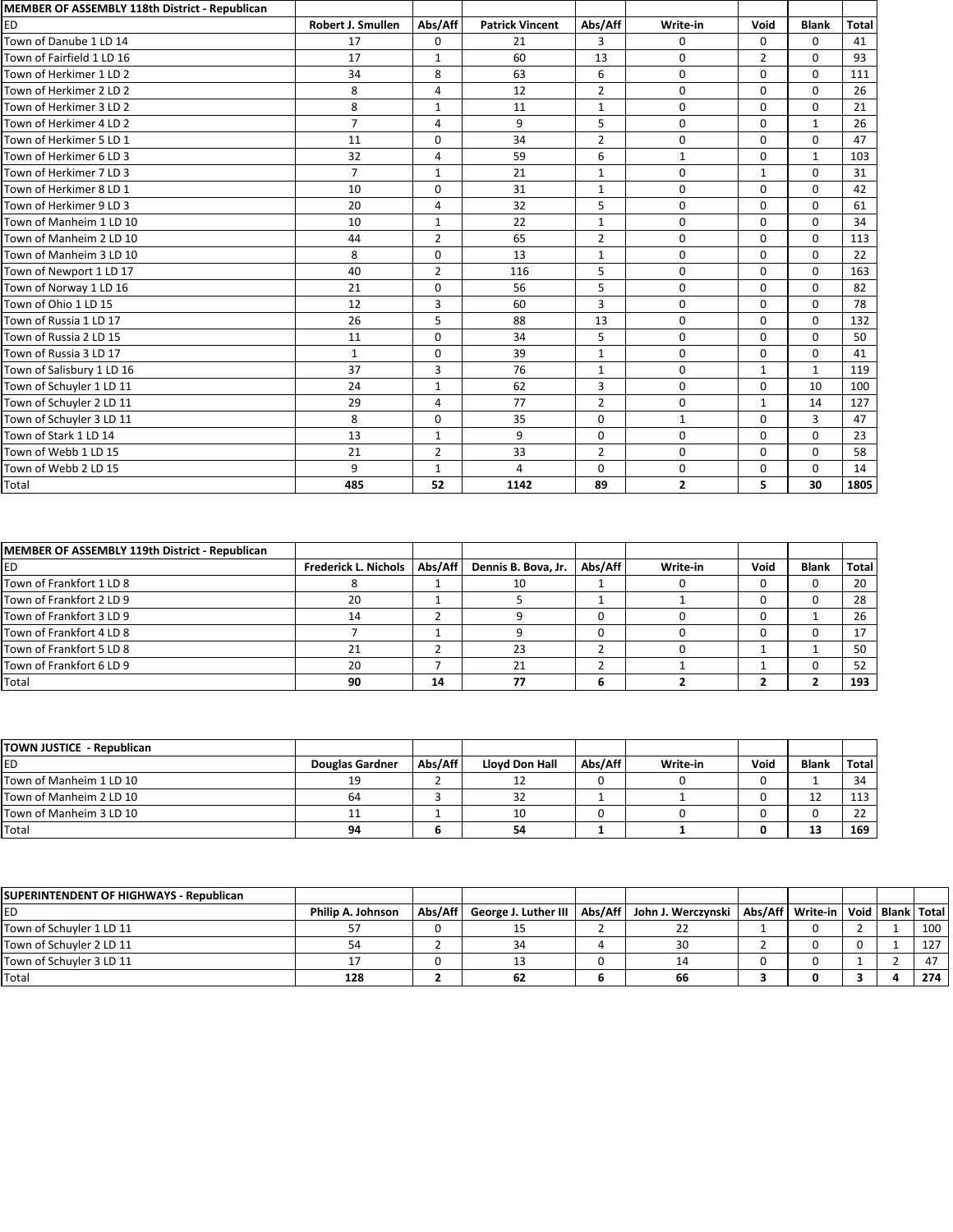| MEMBER OF ASSEMBLY 118th District - Republican |                          |                |                        |                |                |                |              |              |
|------------------------------------------------|--------------------------|----------------|------------------------|----------------|----------------|----------------|--------------|--------------|
| <b>ED</b>                                      | <b>Robert J. Smullen</b> | Abs/Aff        | <b>Patrick Vincent</b> | Abs/Aff        | Write-in       | Void           | <b>Blank</b> | <b>Total</b> |
| Town of Danube 1 LD 14                         | 17                       | $\Omega$       | 21                     | 3              | 0              | 0              | $\mathbf 0$  | 41           |
| Town of Fairfield 1 LD 16                      | 17                       | $\mathbf{1}$   | 60                     | 13             | 0              | $\overline{2}$ | $\mathbf 0$  | 93           |
| Town of Herkimer 1 LD 2                        | 34                       | 8              | 63                     | 6              | $\mathbf 0$    | $\mathbf 0$    | $\mathbf 0$  | 111          |
| Town of Herkimer 2 LD 2                        | 8                        | 4              | 12                     | $\overline{2}$ | $\mathbf 0$    | 0              | $\Omega$     | 26           |
| Town of Herkimer 3 LD 2                        | 8                        | $\mathbf{1}$   | 11                     | $\mathbf{1}$   | $\mathbf 0$    | 0              | $\mathbf 0$  | 21           |
| Town of Herkimer 4 LD 2                        | $\overline{7}$           | $\overline{a}$ | 9                      | 5              | $\mathbf 0$    | $\mathbf 0$    | $\mathbf{1}$ | 26           |
| Town of Herkimer 5 LD 1                        | 11                       | $\Omega$       | 34                     | $\overline{2}$ | $\mathbf 0$    | $\mathbf 0$    | $\mathbf 0$  | 47           |
| Town of Herkimer 6 LD 3                        | 32                       | 4              | 59                     | 6              | $\mathbf{1}$   | $\mathbf 0$    | $\mathbf{1}$ | 103          |
| Town of Herkimer 7 LD 3                        | $\overline{7}$           | $\mathbf{1}$   | 21                     | $\mathbf{1}$   | $\mathbf 0$    | $\mathbf{1}$   | $\mathbf 0$  | 31           |
| Town of Herkimer 8 LD 1                        | 10                       | $\Omega$       | 31                     | $\mathbf{1}$   | $\mathbf 0$    | $\mathbf 0$    | $\mathbf 0$  | 42           |
| Town of Herkimer 9 LD 3                        | 20                       | $\overline{4}$ | 32                     | 5              | $\mathbf 0$    | $\mathbf 0$    | $\Omega$     | 61           |
| Town of Manheim 1 LD 10                        | 10                       | $\mathbf{1}$   | 22                     | $\mathbf{1}$   | 0              | 0              | $\mathbf 0$  | 34           |
| Town of Manheim 2 LD 10                        | 44                       | $\overline{2}$ | 65                     | $\overline{2}$ | 0              | 0              | $\mathbf 0$  | 113          |
| Town of Manheim 3 LD 10                        | 8                        | $\mathbf 0$    | 13                     | $\mathbf{1}$   | 0              | 0              | $\Omega$     | 22           |
| Town of Newport 1 LD 17                        | 40                       | $\overline{2}$ | 116                    | 5              | 0              | $\mathbf 0$    | $\mathbf 0$  | 163          |
| Town of Norway 1 LD 16                         | 21                       | $\Omega$       | 56                     | 5              | $\mathbf 0$    | $\mathbf 0$    | $\Omega$     | 82           |
| Town of Ohio 1 LD 15                           | 12                       | 3              | 60                     | 3              | 0              | $\mathbf 0$    | $\mathbf 0$  | 78           |
| Town of Russia 1 LD 17                         | 26                       | 5              | 88                     | 13             | $\Omega$       | $\mathbf 0$    | $\Omega$     | 132          |
| Town of Russia 2 LD 15                         | 11                       | $\Omega$       | 34                     | 5              | $\Omega$       | $\Omega$       | $\Omega$     | 50           |
| Town of Russia 3 LD 17                         | $\mathbf{1}$             | $\Omega$       | 39                     | $\mathbf{1}$   | $\Omega$       | $\mathbf 0$    | $\Omega$     | 41           |
| Town of Salisbury 1 LD 16                      | 37                       | 3              | 76                     | 1              | 0              | $\mathbf{1}$   | $\mathbf{1}$ | 119          |
| Town of Schuyler 1 LD 11                       | 24                       | $\mathbf{1}$   | 62                     | 3              | 0              | $\mathbf 0$    | 10           | 100          |
| Town of Schuyler 2 LD 11                       | 29                       | $\overline{4}$ | 77                     | $\overline{2}$ | 0              | $\mathbf{1}$   | 14           | 127          |
| Town of Schuyler 3 LD 11                       | 8                        | $\Omega$       | 35                     | $\Omega$       | $\mathbf{1}$   | $\mathbf 0$    | 3            | 47           |
| Town of Stark 1 LD 14                          | 13                       | $\mathbf{1}$   | 9                      | $\Omega$       | $\mathbf 0$    | $\mathbf 0$    | $\mathbf 0$  | 23           |
| Town of Webb 1 LD 15                           | 21                       | $\overline{2}$ | 33                     | $\overline{2}$ | $\Omega$       | $\mathbf 0$    | $\Omega$     | 58           |
| Town of Webb 2 LD 15                           | 9                        | 1              | 4                      | $\Omega$       | 0              | $\Omega$       | $\Omega$     | 14           |
| Total                                          | 485                      | 52             | 1142                   | 89             | $\overline{2}$ | 5              | 30           | 1805         |

| MEMBER OF ASSEMBLY 119th District - Republican |                                |    |                     |         |          |      |              |       |
|------------------------------------------------|--------------------------------|----|---------------------|---------|----------|------|--------------|-------|
| ED                                             | Frederick L. Nichols   Abs/Aff |    | Dennis B. Bova, Jr. | Abs/Aff | Write-in | Void | <b>Blank</b> | Total |
| Town of Frankfort 1 LD 8                       |                                |    | 10                  |         |          |      |              | 20    |
| Town of Frankfort 2 LD 9                       | 20                             |    |                     |         |          |      |              | 28    |
| Town of Frankfort 3 LD 9                       | 14                             |    |                     |         |          |      |              | 26    |
| Town of Frankfort 4 LD 8                       |                                |    |                     |         |          |      |              | 17    |
| Town of Frankfort 5 LD 8                       | 21                             |    | 23                  |         |          |      |              | 50    |
| Town of Frankfort 6 LD 9                       | 20                             |    | 21                  |         |          |      |              | 52    |
| Total                                          | 90                             | 14 | 77                  |         |          |      |              | 193   |

| TOWN JUSTICE - Republican |                        |         |                |         |          |      |              |       |
|---------------------------|------------------------|---------|----------------|---------|----------|------|--------------|-------|
| ED                        | <b>Douglas Gardner</b> | Abs/Aff | Lloyd Don Hall | Abs/Aff | Write-in | Void | <b>Blank</b> | Total |
| Town of Manheim 1 LD 10   | 10                     |         | 12             |         |          |      |              | 34    |
| Town of Manheim 2 LD 10   | 64                     |         | 32             |         |          |      | ᆠ            | 113   |
| Town of Manheim 3 LD 10   | <b>. .</b>             |         | 10             |         |          |      |              | 22    |
| Total                     | 94                     | D       | 54             |         |          |      | 13           | 169   |

| SUPERINTENDENT OF HIGHWAYS - Republican |                   |         |    |                                                                                                 |  |  |     |
|-----------------------------------------|-------------------|---------|----|-------------------------------------------------------------------------------------------------|--|--|-----|
| ED                                      | Philip A. Johnson | Abs/Aff |    | George J. Luther III   Abs/Aff   John J. Werczynski   Abs/Aff   Write-in   Void   Blank   Total |  |  |     |
| Town of Schuyler 1 LD 11                |                   |         |    |                                                                                                 |  |  | 100 |
| Town of Schuyler 2 LD 11                | 54                |         |    |                                                                                                 |  |  | 127 |
| Town of Schuyler 3 LD 11                |                   |         |    |                                                                                                 |  |  | 47  |
| Total                                   | 128               |         | 62 | 66                                                                                              |  |  | 274 |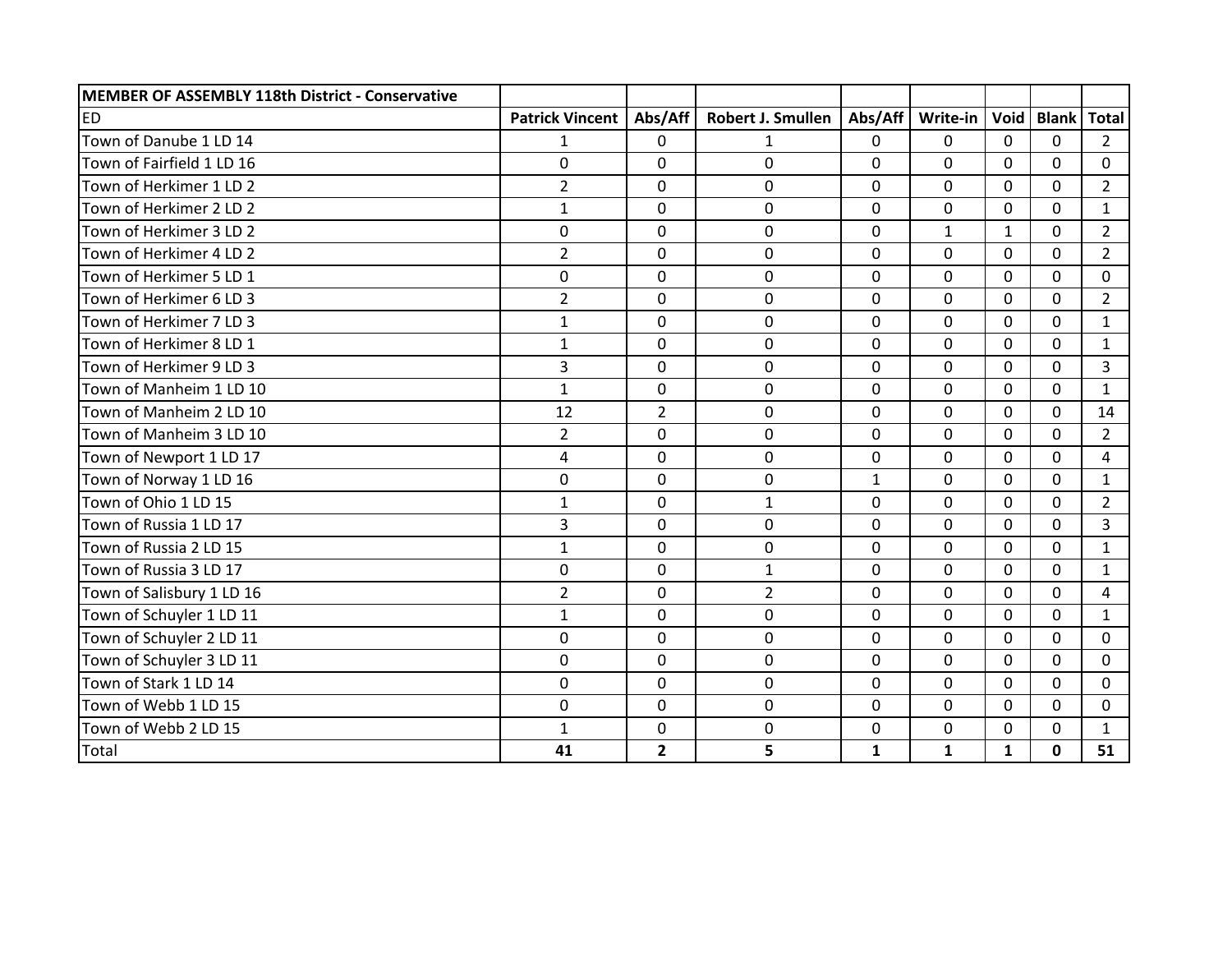| MEMBER OF ASSEMBLY 118th District - Conservative |                        |                |                   |              |              |              |              |                |
|--------------------------------------------------|------------------------|----------------|-------------------|--------------|--------------|--------------|--------------|----------------|
| <b>ED</b>                                        | <b>Patrick Vincent</b> | Abs/Aff        | Robert J. Smullen | Abs/Aff      | Write-in     | Void         | <b>Blank</b> | <b>Total</b>   |
| Town of Danube 1 LD 14                           | $\mathbf{1}$           | 0              | 1                 | 0            | 0            | $\Omega$     | $\Omega$     | $\overline{2}$ |
| Town of Fairfield 1 LD 16                        | 0                      | $\Omega$       | $\Omega$          | $\mathbf 0$  | 0            | $\Omega$     | $\Omega$     | 0              |
| Town of Herkimer 1 LD 2                          | $\overline{2}$         | $\mathbf 0$    | $\Omega$          | $\mathbf 0$  | $\Omega$     | $\Omega$     | $\Omega$     | $\overline{2}$ |
| Town of Herkimer 2 LD 2                          | $\mathbf{1}$           | $\Omega$       | $\mathbf{0}$      | 0            | $\Omega$     | $\Omega$     | $\Omega$     | $\mathbf{1}$   |
| Town of Herkimer 3 LD 2                          | 0                      | $\mathbf 0$    | $\mathbf 0$       | $\mathbf 0$  | $\mathbf{1}$ | $\mathbf{1}$ | $\mathbf 0$  | $\overline{2}$ |
| Town of Herkimer 4 LD 2                          | $\overline{2}$         | $\overline{0}$ | $\mathbf{0}$      | $\mathbf 0$  | 0            | $\Omega$     | $\Omega$     | $\overline{2}$ |
| Town of Herkimer 5 LD 1                          | $\overline{0}$         | $\mathbf 0$    | $\mathbf{0}$      | $\mathbf 0$  | 0            | $\mathbf{0}$ | $\mathbf 0$  | 0              |
| Town of Herkimer 6 LD 3                          | $\overline{2}$         | $\Omega$       | $\Omega$          | $\mathbf 0$  | $\Omega$     | $\Omega$     | $\Omega$     | $\overline{2}$ |
| Town of Herkimer 7 LD 3                          | $\mathbf{1}$           | $\mathbf 0$    | $\mathbf 0$       | $\mathbf 0$  | $\Omega$     | $\Omega$     | $\Omega$     | $\mathbf{1}$   |
| Town of Herkimer 8 LD 1                          | $\mathbf{1}$           | $\Omega$       | $\mathbf{0}$      | $\mathbf 0$  | $\Omega$     | $\Omega$     | $\Omega$     | $\mathbf{1}$   |
| Town of Herkimer 9 LD 3                          | $\overline{3}$         | $\mathbf 0$    | $\mathbf{0}$      | 0            | 0            | $\Omega$     | $\Omega$     | $\overline{3}$ |
| Town of Manheim 1 LD 10                          | $\mathbf{1}$           | $\mathbf 0$    | $\mathbf{0}$      | $\mathbf 0$  | $\Omega$     | $\Omega$     | $\Omega$     | $\mathbf{1}$   |
| Town of Manheim 2 LD 10                          | 12                     | $\overline{2}$ | $\mathbf 0$       | $\mathbf 0$  | 0            | $\mathbf{0}$ | $\mathbf 0$  | 14             |
| Town of Manheim 3 LD 10                          | $\overline{2}$         | $\overline{0}$ | $\mathbf{0}$      | $\mathbf 0$  | 0            | $\mathbf 0$  | $\mathbf 0$  | $\overline{2}$ |
| Town of Newport 1 LD 17                          | 4                      | $\mathbf 0$    | $\mathbf 0$       | $\mathbf 0$  | 0            | $\mathbf 0$  | $\mathbf 0$  | 4              |
| Town of Norway 1 LD 16                           | $\overline{0}$         | $\Omega$       | $\mathbf{0}$      | $\mathbf{1}$ | $\Omega$     | $\Omega$     | $\Omega$     | $\mathbf{1}$   |
| Town of Ohio 1 LD 15                             | $\mathbf{1}$           | $\mathbf 0$    | $\mathbf{1}$      | $\mathbf 0$  | 0            | $\mathbf 0$  | $\mathbf 0$  | $\overline{2}$ |
| Town of Russia 1 LD 17                           | $\overline{3}$         | $\mathbf 0$    | $\mathbf{0}$      | 0            | 0            | $\mathbf 0$  | $\mathbf{0}$ | 3              |
| Town of Russia 2 LD 15                           | 1                      | $\mathbf 0$    | $\mathbf 0$       | 0            | 0            | $\mathbf 0$  | $\mathbf{0}$ | $\mathbf{1}$   |
| Town of Russia 3 LD 17                           | 0                      | $\mathbf 0$    | $\mathbf{1}$      | $\mathbf 0$  | 0            | $\mathbf 0$  | $\mathbf 0$  | $\mathbf{1}$   |
| Town of Salisbury 1 LD 16                        | $\overline{2}$         | $\mathbf 0$    | $\overline{2}$    | $\mathbf 0$  | 0            | $\mathbf{0}$ | $\mathbf 0$  | 4              |
| Town of Schuyler 1 LD 11                         | $\mathbf{1}$           | $\mathbf 0$    | $\mathbf 0$       | $\mathbf 0$  | 0            | $\mathbf 0$  | $\mathbf 0$  | $\mathbf{1}$   |
| Town of Schuyler 2 LD 11                         | 0                      | $\mathbf 0$    | $\mathbf{0}$      | $\mathbf 0$  | 0            | $\mathbf{0}$ | $\mathbf{0}$ | 0              |
| Town of Schuyler 3 LD 11                         | 0                      | $\mathbf 0$    | $\mathbf 0$       | $\mathbf 0$  | 0            | $\mathbf{0}$ | $\mathbf{0}$ | 0              |
| Town of Stark 1 LD 14                            | 0                      | $\mathbf 0$    | $\mathbf 0$       | $\mathbf 0$  | 0            | $\mathbf 0$  | $\mathbf{0}$ | 0              |
| Town of Webb 1 LD 15                             | 0                      | $\mathbf 0$    | $\mathbf 0$       | $\mathbf 0$  | 0            | $\mathbf 0$  | $\mathbf{0}$ | 0              |
| Town of Webb 2 LD 15                             | 1                      | $\mathbf 0$    | $\mathbf 0$       | $\mathbf 0$  | 0            | 0            | 0            | $\mathbf{1}$   |
| <b>Total</b>                                     | 41                     | $\overline{2}$ | 5                 | $\mathbf{1}$ | $\mathbf{1}$ | $\mathbf{1}$ | $\mathbf 0$  | 51             |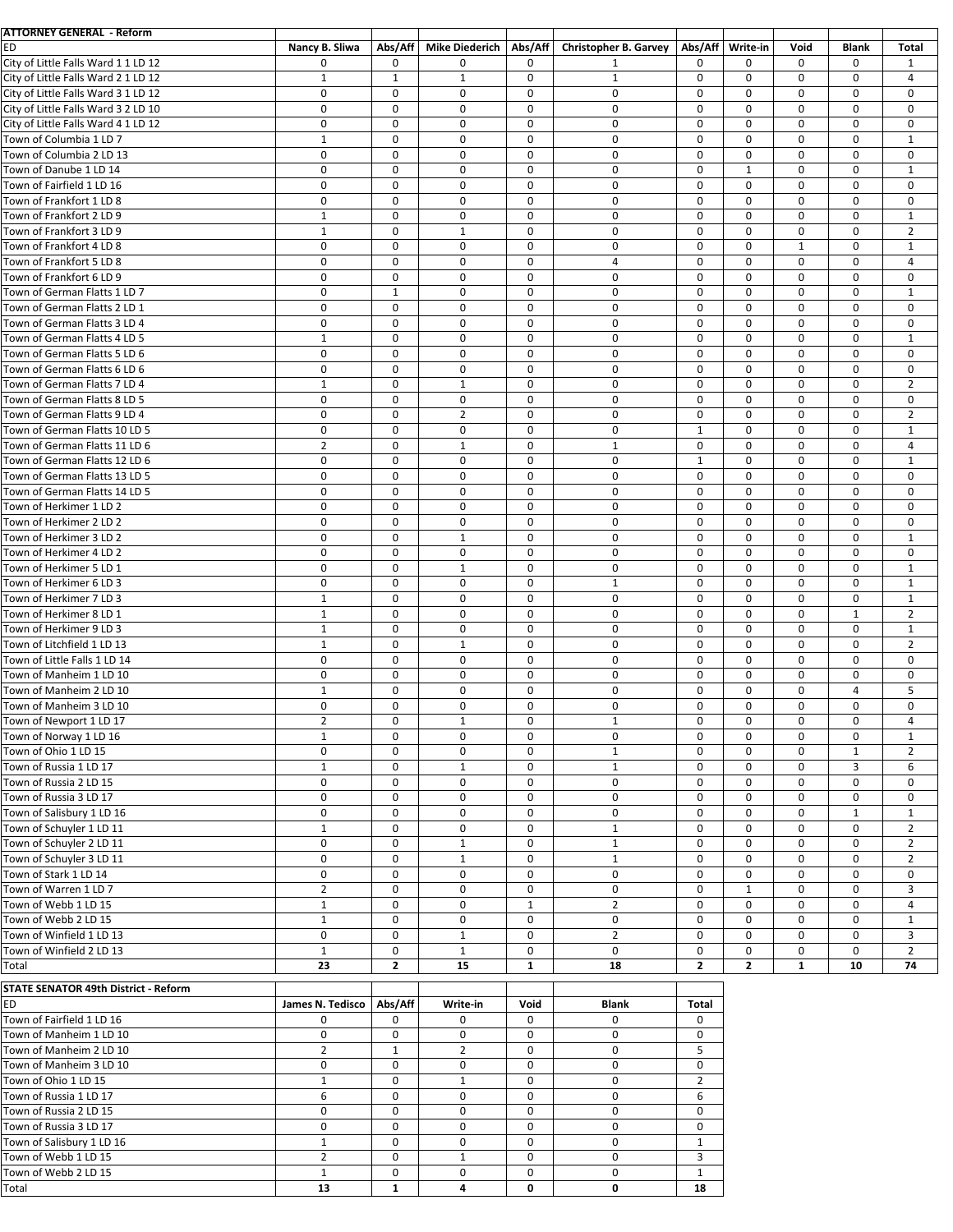| <b>ATTORNEY GENERAL - Reform</b>                  |                  |                  |                       |              |                              |                |              |              |                  |                |
|---------------------------------------------------|------------------|------------------|-----------------------|--------------|------------------------------|----------------|--------------|--------------|------------------|----------------|
| ED                                                | Nancy B. Sliwa   | Abs/Aff          | <b>Mike Diederich</b> | Abs/Aff      | <b>Christopher B. Garvey</b> | Abs/Aff        | Write-in     | Void         | <b>Blank</b>     | <b>Total</b>   |
| City of Little Falls Ward 1 1 LD 12               | 0                | 0                | $\mathbf 0$           | 0            | $\mathbf{1}$                 | 0              | 0            | $\mathbf 0$  | $\mathbf 0$      | 1              |
| City of Little Falls Ward 2 1 LD 12               | $\mathbf{1}$     | $\mathbf{1}$     | $\mathbf{1}$          | $\mathbf 0$  | $\mathbf{1}$                 | $\mathbf 0$    | 0            | $\mathbf 0$  | $\mathbf 0$      | 4              |
| City of Little Falls Ward 3 1 LD 12               | 0                | $\mathbf 0$      | 0                     | $\mathbf 0$  | 0                            | $\mathbf 0$    | 0            | 0            | $\mathbf 0$      | $\mathbf 0$    |
| City of Little Falls Ward 3 2 LD 10               | 0                | $\mathbf 0$      | $\mathbf 0$           | $\mathbf 0$  | 0                            | $\mathbf 0$    | 0            | 0            | $\mathbf 0$      | $\mathbf 0$    |
| City of Little Falls Ward 4 1 LD 12               | 0                | $\mathbf 0$      | 0                     | $\mathbf 0$  | $\mathbf 0$                  | $\mathbf 0$    | 0            | $\mathbf 0$  | $\mathbf 0$      | $\mathbf 0$    |
| Town of Columbia 1 LD 7                           | $\mathbf{1}$     | $\mathbf 0$      | 0                     | $\mathbf 0$  | 0                            | $\mathbf 0$    | $\pmb{0}$    | 0            | $\mathbf 0$      | $\mathbf{1}$   |
| Town of Columbia 2 LD 13                          | $\mathbf 0$      | $\mathbf 0$      | 0                     | $\mathbf 0$  | $\mathbf 0$                  | $\mathbf 0$    | $\mathbf 0$  | $\mathbf 0$  | $\mathbf 0$      | $\mathbf 0$    |
| Town of Danube 1 LD 14                            | $\pmb{0}$        | $\mathbf 0$      | 0                     | 0            | 0                            | 0              | $1\,$        | 0            | $\mathbf 0$      | $\mathbf{1}$   |
| Town of Fairfield 1 LD 16                         | $\pmb{0}$        | $\mathbf 0$      | $\mathbf 0$           | $\mathbf 0$  | $\mathbf 0$                  | $\mathbf 0$    | 0            | $\mathbf 0$  | $\mathbf 0$      | $\mathbf 0$    |
| Town of Frankfort 1 LD 8                          | $\mathbf 0$      | $\mathbf 0$      | $\mathbf 0$           | $\mathbf 0$  | $\mathbf 0$                  | $\mathbf 0$    | 0            | 0            | $\mathbf 0$      | $\mathbf 0$    |
| Town of Frankfort 2 LD 9                          | $\mathbf{1}$     | $\mathbf 0$      | 0                     | $\mathbf 0$  | $\mathbf 0$                  | $\pmb{0}$      | 0            | 0            | $\mathbf 0$      | $\mathbf{1}$   |
| Town of Frankfort 3 LD 9                          | $\mathbf{1}$     | $\mathbf 0$      | $\mathbf{1}$          | $\mathbf 0$  | $\mathbf 0$                  | $\mathbf 0$    | 0            | $\mathbf 0$  | $\mathbf 0$      | $\overline{2}$ |
| Town of Frankfort 4 LD 8                          | $\mathbf 0$      | $\mathbf 0$      | $\mathbf 0$           | $\mathbf 0$  | 0                            | $\mathbf 0$    | $\mathbf 0$  | $\mathbf{1}$ | $\mathbf 0$      | $\mathbf{1}$   |
| Town of Frankfort 5 LD 8                          | 0                | $\mathbf 0$      | 0                     | $\mathbf 0$  | 4                            | $\mathbf 0$    | $\mathbf 0$  | $\mathbf 0$  | $\mathbf 0$      | 4              |
| Town of Frankfort 6 LD 9                          | $\pmb{0}$        | $\boldsymbol{0}$ | 0                     | $\mathbf 0$  | 0                            | 0              | $\pmb{0}$    | 0            | $\mathbf 0$      | $\pmb{0}$      |
| Town of German Flatts 1 LD 7                      | $\mathbf 0$      | $\mathbf{1}$     | 0                     | $\mathbf 0$  | 0                            | $\mathbf 0$    | 0            | $\mathbf 0$  | $\mathbf 0$      | $\mathbf{1}$   |
| Town of German Flatts 2 LD 1                      | $\pmb{0}$        | $\mathbf 0$      | 0                     | $\mathbf 0$  | 0                            | $\mathbf 0$    | $\pmb{0}$    | 0            | $\mathbf 0$      | $\pmb{0}$      |
| Town of German Flatts 3 LD 4                      | $\mathbf 0$      | $\mathbf 0$      | $\mathbf 0$           | $\mathbf 0$  | $\mathbf 0$                  | $\mathbf 0$    | $\mathbf 0$  | $\mathbf 0$  | $\mathbf 0$      | $\mathbf 0$    |
| Town of German Flatts 4 LD 5                      | $\mathbf{1}$     | $\mathbf 0$      | $\mathbf 0$           | $\mathbf 0$  | $\mathbf 0$                  | $\mathbf 0$    | 0            | $\mathbf 0$  | $\mathbf 0$      | $\mathbf{1}$   |
|                                                   |                  |                  |                       |              |                              |                |              |              |                  |                |
| Town of German Flatts 5 LD 6                      | 0                | $\mathbf 0$      | 0                     | $\mathbf 0$  | 0                            | $\mathbf 0$    | $\mathbf 0$  | $\mathbf 0$  | $\mathbf 0$      | $\mathbf 0$    |
| Town of German Flatts 6 LD 6                      | $\mathbf 0$      | $\mathbf 0$      | 0                     | $\mathbf 0$  | $\mathbf 0$                  | $\mathbf 0$    | $\mathbf 0$  | $\pmb{0}$    | $\mathbf 0$      | $\mathbf 0$    |
| Town of German Flatts 7 LD 4                      | $\mathbf{1}$     | $\mathbf 0$      | $\mathbf{1}$          | 0            | 0                            | 0              | 0            | 0            | $\mathbf 0$      | $\overline{2}$ |
| Town of German Flatts 8 LD 5                      | $\mathbf 0$      | $\mathbf 0$      | $\mathbf 0$           | $\mathbf 0$  | $\mathbf 0$                  | $\mathbf 0$    | $\mathbf 0$  | $\mathbf 0$  | $\mathbf 0$      | $\mathbf 0$    |
| Town of German Flatts 9 LD 4                      | $\pmb{0}$        | $\mathbf 0$      | $\overline{2}$        | $\mathbf 0$  | 0                            | 0              | $\pmb{0}$    | $\pmb{0}$    | $\mathbf 0$      | $\overline{2}$ |
| Town of German Flatts 10 LD 5                     | 0                | $\mathbf 0$      | 0                     | $\mathbf 0$  | $\mathbf 0$                  | $\mathbf{1}$   | $\mathbf 0$  | $\mathbf 0$  | $\mathbf 0$      | $\mathbf{1}$   |
| Town of German Flatts 11 LD 6                     | $\overline{2}$   | $\mathbf 0$      | $\mathbf{1}$          | $\mathbf 0$  | $\mathbf 1$                  | 0              | 0            | 0            | $\mathbf 0$      | $\overline{4}$ |
| Town of German Flatts 12 LD 6                     | 0                | $\mathbf 0$      | $\mathbf 0$           | $\mathbf 0$  | 0                            | $\mathbf{1}$   | 0            | $\mathbf 0$  | $\mathbf 0$      | $\mathbf{1}$   |
| Town of German Flatts 13 LD 5                     | 0                | $\mathbf 0$      | $\mathbf 0$           | $\mathbf 0$  | $\mathbf 0$                  | $\mathbf 0$    | $\mathbf 0$  | 0            | $\mathbf 0$      | $\mathbf 0$    |
| Town of German Flatts 14 LD 5                     | 0                | $\mathbf 0$      | 0                     | $\mathbf 0$  | 0                            | $\mathbf 0$    | 0            | $\mathbf 0$  | $\mathbf 0$      | $\mathbf 0$    |
| Town of Herkimer 1 LD 2                           | $\mathbf 0$      | $\mathbf 0$      | $\mathbf 0$           | $\mathbf 0$  | $\mathbf 0$                  | $\mathbf 0$    | 0            | $\mathbf 0$  | $\mathbf 0$      | $\mathbf 0$    |
| Town of Herkimer 2 LD 2                           | 0                | $\mathbf 0$      | 0                     | $\mathbf 0$  | $\pmb{0}$                    | $\mathbf 0$    | 0            | 0            | $\mathbf 0$      | 0              |
| Town of Herkimer 3 LD 2                           | $\mathbf 0$      | $\mathbf 0$      | $\mathbf{1}$          | $\mathbf 0$  | $\mathbf 0$                  | $\mathbf 0$    | $\mathbf 0$  | $\mathbf 0$  | $\mathbf 0$      | $\mathbf{1}$   |
| Town of Herkimer 4 LD 2                           | $\pmb{0}$        | $\mathbf 0$      | 0                     | 0            | 0                            | 0              | 0            | 0            | $\mathbf 0$      | $\mathbf 0$    |
| Town of Herkimer 5 LD 1                           | $\mathbf 0$      | $\mathbf 0$      | $\mathbf{1}$          | $\mathbf 0$  | $\mathbf 0$                  | $\mathbf 0$    | $\mathbf 0$  | $\mathbf 0$  | $\mathbf 0$      | $\mathbf{1}$   |
| Town of Herkimer 6 LD 3                           | $\mathbf 0$      | $\mathbf 0$      | $\mathbf 0$           | $\mathbf 0$  | $\mathbf{1}$                 | $\mathbf 0$    | 0            | $\mathbf 0$  | $\mathbf 0$      | $\mathbf{1}$   |
| Town of Herkimer 7 LD 3                           | $\mathbf{1}$     | $\mathbf 0$      | 0                     | $\mathbf 0$  | 0                            | 0              | 0            | $\mathbf 0$  | $\mathbf 0$      | $\mathbf{1}$   |
| Town of Herkimer 8 LD 1                           | $\mathbf{1}$     | $\mathbf 0$      | 0                     | $\mathbf 0$  | $\mathbf 0$                  | $\mathbf 0$    | 0            | $\mathbf 0$  | $\mathbf{1}$     | $\overline{2}$ |
| Town of Herkimer 9 LD 3                           | $\mathbf{1}$     | $\mathbf 0$      | $\pmb{0}$             | $\mathbf 0$  | 0                            | $\mathbf 0$    | 0            | 0            | $\mathbf 0$      | $\mathbf{1}$   |
| Town of Litchfield 1 LD 13                        | $\mathbf{1}$     | $\mathbf 0$      | $\mathbf{1}$          | $\mathbf 0$  | $\mathbf 0$                  | $\mathbf 0$    | 0            | $\mathbf 0$  | $\mathbf 0$      | $\overline{2}$ |
| Town of Little Falls 1 LD 14                      | $\pmb{0}$        | $\boldsymbol{0}$ | 0                     | $\mathbf 0$  | 0                            | 0              | 0            | 0            | $\mathbf 0$      | $\mathbf 0$    |
| Town of Manheim 1 LD 10                           | $\mathbf 0$      | $\mathbf 0$      | $\mathbf 0$           | $\mathbf 0$  | 0                            | $\mathbf 0$    | 0            | $\mathbf 0$  | $\mathbf 0$      | $\mathbf 0$    |
| Town of Manheim 2 LD 10                           | $\mathbf{1}$     | $\mathbf 0$      | 0                     | $\mathbf 0$  | 0                            | 0              | $\pmb{0}$    | 0            | $\overline{4}$   | 5              |
|                                                   | $\mathbf 0$      | $\mathbf 0$      | 0                     | $\mathbf 0$  | 0                            | $\mathbf 0$    | $\mathbf 0$  | $\mathbf 0$  | $\mathbf 0$      | $\mathbf 0$    |
| Town of Manheim 3 LD 10                           | $\overline{2}$   | 0                | $\mathbf{1}$          | 0            | $\mathbf{1}$                 | 0              | $\mathbf 0$  | $\mathbf 0$  | $\mathbf 0$      | $\overline{4}$ |
| Town of Newport 1 LD 17                           |                  |                  |                       |              |                              |                |              |              |                  |                |
| Town of Norway 1 LD 16                            | $\mathbf{1}$     | $\mathbf 0$      | 0                     | 0            | 0                            | 0              | 0            | 0            | 0                | $\mathbf{1}$   |
| Town of Ohio 1 LD 15                              | $\mathbf 0$      | $\mathbf 0$      | 0                     | $\mathbf 0$  | $\mathbf{1}$                 | 0              | 0            | 0            | $\mathbf{1}$     | $\overline{2}$ |
| Town of Russia 1 LD 17                            | $\mathbf{1}$     | 0                | $\mathbf{1}$          | 0            | $\mathbf{1}$                 | 0              | 0            | 0            | 3                | 6              |
| Town of Russia 2 LD 15                            | 0                | $\mathbf 0$      | 0                     | 0            | $\mathbf 0$                  | 0              | 0            | 0            | 0                | 0              |
| Town of Russia 3 LD 17                            | $\pmb{0}$        | 0                | 0                     | 0            | 0                            | 0              | 0            | 0            | $\boldsymbol{0}$ | 0              |
| Town of Salisbury 1 LD 16                         | 0                | $\mathbf 0$      | 0                     | 0            | 0                            | 0              | 0            | 0            | $\mathbf{1}$     | $\mathbf{1}$   |
| Town of Schuyler 1 LD 11                          | $\mathbf{1}$     | $\mathbf 0$      | 0                     | $\mathbf 0$  | $\mathbf{1}$                 | 0              | 0            | 0            | 0                | $\overline{2}$ |
| Town of Schuyler 2 LD 11                          | 0                | $\mathbf 0$      | $\mathbf{1}$          | 0            | $\mathbf{1}$                 | 0              | 0            | 0            | 0                | $\overline{2}$ |
| Town of Schuyler 3 LD 11                          | 0                | $\mathbf 0$      | $\mathbf{1}$          | 0            | $\mathbf{1}$                 | 0              | 0            | 0            | $\mathbf 0$      | $\overline{2}$ |
| Town of Stark 1 LD 14                             | 0                | 0                | 0                     | 0            | 0                            | 0              | 0            | 0            | 0                | $\mathbf 0$    |
| Town of Warren 1 LD 7                             | $\overline{2}$   | 0                | 0                     | 0            | 0                            | 0              | $\mathbf{1}$ | 0            | $\mathbf 0$      | 3              |
| Town of Webb 1 LD 15                              | $\mathbf{1}$     | $\mathbf 0$      | 0                     | 1            | $\overline{2}$               | 0              | 0            | 0            | $\mathbf 0$      | 4              |
| Town of Webb 2 LD 15                              | $\mathbf{1}$     | $\mathbf 0$      | 0                     | $\mathbf 0$  | 0                            | 0              | 0            | 0            | 0                | $\mathbf{1}$   |
| Town of Winfield 1 LD 13                          | $\mathbf 0$      | 0                | $\mathbf{1}$          | 0            | $\overline{2}$               | 0              | 0            | 0            | 0                | 3              |
| Town of Winfield 2 LD 13                          | $\mathbf{1}$     | $\mathbf 0$      | $\mathbf{1}$          | 0            | $\mathbf 0$                  | 0              | 0            | 0            | $\mathbf 0$      | $\overline{2}$ |
| Total                                             | 23               | $\mathbf{2}$     | 15                    | $\mathbf{1}$ | 18                           | 2              | $\mathbf{2}$ | $\mathbf{1}$ | 10               | 74             |
|                                                   |                  |                  |                       |              |                              |                |              |              |                  |                |
| <b>STATE SENATOR 49th District - Reform</b>       |                  |                  |                       |              |                              |                |              |              |                  |                |
| ED                                                | James N. Tedisco | Abs/Aff          | Write-in              | Void         | <b>Blank</b>                 | Total          |              |              |                  |                |
| Town of Fairfield 1 LD 16                         | 0                | $\Omega$         | 0                     | $\mathbf 0$  | $\Omega$                     | $\mathbf 0$    |              |              |                  |                |
| Town of Manheim 1 LD 10                           | 0                | 0                | 0                     | 0            | 0                            | 0              |              |              |                  |                |
| Town of Manheim 2 LD 10                           | $\overline{2}$   | $\mathbf{1}$     | $\overline{2}$        | $\mathbf 0$  | 0                            | 5              |              |              |                  |                |
| Town of Manheim 3 LD 10                           | 0                | 0                | 0                     | 0            | 0                            | 0              |              |              |                  |                |
| Town of Ohio 1 LD 15                              | $\mathbf{1}$     | 0                | $\mathbf{1}$          | 0            | 0                            | $\overline{2}$ |              |              |                  |                |
| Town of Russia 1 LD 17                            | 6                | $\mathbf 0$      | 0                     | 0            | 0                            | 6              |              |              |                  |                |
| Town of Russia 2 LD 15                            | 0                | $\mathbf 0$      | 0                     | 0            | 0                            | 0              |              |              |                  |                |
|                                                   |                  |                  |                       |              |                              |                |              |              |                  |                |
|                                                   | 0                | 0                | 0                     | 0            | 0                            | 0              |              |              |                  |                |
| Town of Russia 3 LD 17                            | $\mathbf{1}$     | 0                |                       | 0            | 0                            | $\mathbf{1}$   |              |              |                  |                |
| Town of Salisbury 1 LD 16<br>Town of Webb 1 LD 15 | $\overline{2}$   | 0                | 0<br>$\mathbf{1}$     | 0            | 0                            | 3              |              |              |                  |                |

Total **13 1 4 0 0 18**